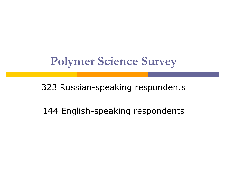# **Polymer Science Survey**

#### 323 Russian-speaking respondents

### 144 English-speaking respondents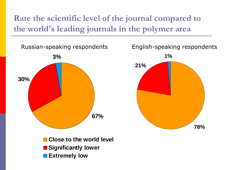**Rate the scientific level of the journal compared to the world's leading journals in the polymer area**



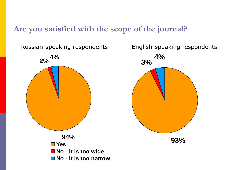#### **Are you satisfied with the scope of the journal?**



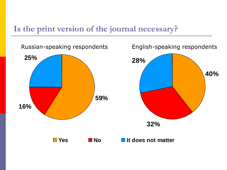#### **Is the print version of the journal necessary?**

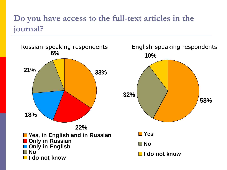### **Do you have access to the full-text articles in the journal?**

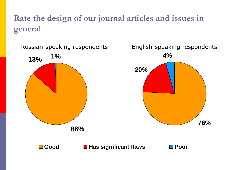### **Rate the design of our journal articles and issues in general**

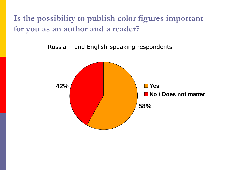**Is the possibility to publish color figures important for you as an author and a reader?**

Russian- and English-speaking respondents

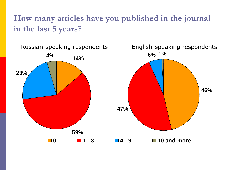### **How many articles have you published in the journal in the last 5 years?**

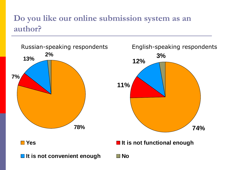### **Do you like our online submission system as an author?**

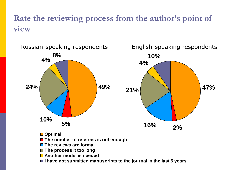#### **Rate the reviewing process from the author's point of view**



- **Another model is needed**
- I have not submitted manuscripts to the journal in the last 5 years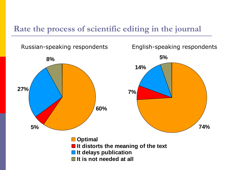#### **Rate the process of scientific editing in the journal**

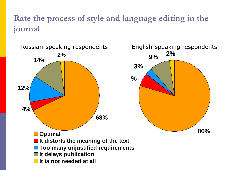### **Rate the process of style and language editing in the journal**

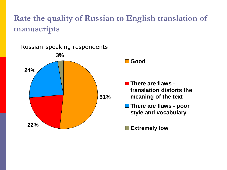### **Rate the quality of Russian to English translation of manuscripts**

**51% 22% 24% 3%** Russian-speaking respondents

**Good**

- **There are flaws translation distorts the meaning of the text**
- **There are flaws poor style and vocabulary**

**Extremely low**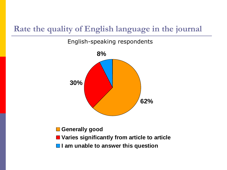#### **Rate the quality of English language in the journal**

English-speaking respondents



- **Generally good**
- **Varies significantly from article to article**
- $\blacksquare$  **I am unable to answer this question**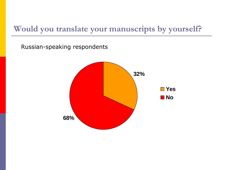#### **Would you translate your manuscripts by yourself?**

Russian-speaking respondents

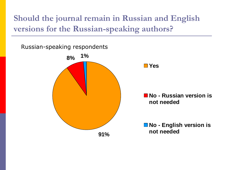**Should the journal remain in Russian and English versions for the Russian-speaking authors?**

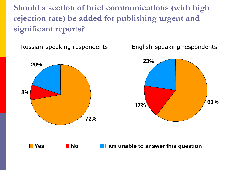**Should a section of brief communications (with high rejection rate) be added for publishing urgent and significant reports?**



**No I** am unable to answer this question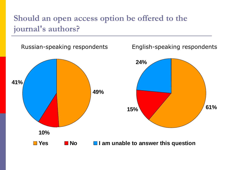#### **Should an open access option be offered to the journal's authors?**

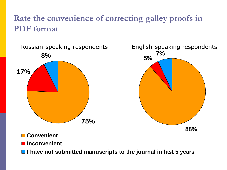### **Rate the convenience of correcting galley proofs in PDF format**



#### **Convenient**

**Inconvenient**

 $\blacksquare$  **I have not submitted manuscripts to the journal in last 5 years**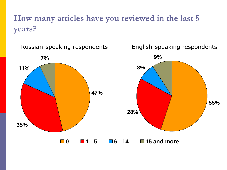## **How many articles have you reviewed in the last 5 years?**

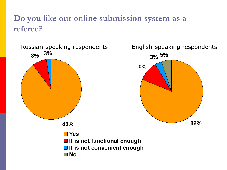#### **Do you like our online submission system as a referee?**